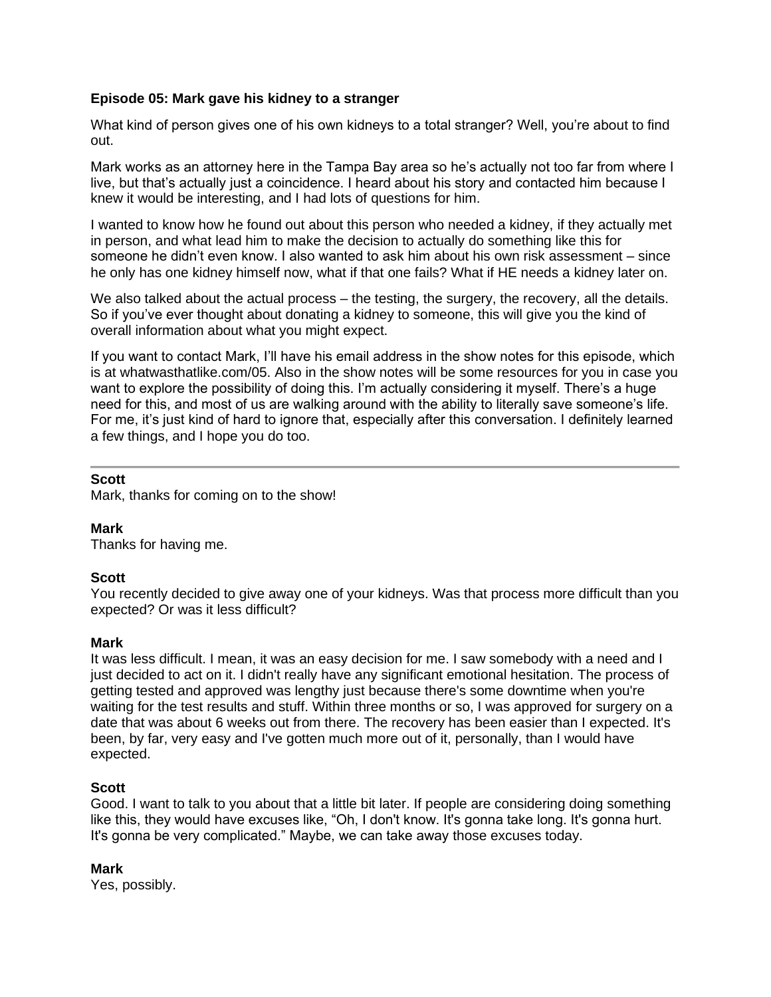## **Episode 05: Mark gave his kidney to a stranger**

What kind of person gives one of his own kidneys to a total stranger? Well, you're about to find out.

Mark works as an attorney here in the Tampa Bay area so he's actually not too far from where I live, but that's actually just a coincidence. I heard about his story and contacted him because I knew it would be interesting, and I had lots of questions for him.

I wanted to know how he found out about this person who needed a kidney, if they actually met in person, and what lead him to make the decision to actually do something like this for someone he didn't even know. I also wanted to ask him about his own risk assessment – since he only has one kidney himself now, what if that one fails? What if HE needs a kidney later on.

We also talked about the actual process – the testing, the surgery, the recovery, all the details. So if you've ever thought about donating a kidney to someone, this will give you the kind of overall information about what you might expect.

If you want to contact Mark, I'll have his email address in the show notes for this episode, which is at whatwasthatlike.com/05. Also in the show notes will be some resources for you in case you want to explore the possibility of doing this. I'm actually considering it myself. There's a huge need for this, and most of us are walking around with the ability to literally save someone's life. For me, it's just kind of hard to ignore that, especially after this conversation. I definitely learned a few things, and I hope you do too.

### **Scott**

Mark, thanks for coming on to the show!

### **Mark**

Thanks for having me.

### **Scott**

You recently decided to give away one of your kidneys. Was that process more difficult than you expected? Or was it less difficult?

### **Mark**

It was less difficult. I mean, it was an easy decision for me. I saw somebody with a need and I just decided to act on it. I didn't really have any significant emotional hesitation. The process of getting tested and approved was lengthy just because there's some downtime when you're waiting for the test results and stuff. Within three months or so, I was approved for surgery on a date that was about 6 weeks out from there. The recovery has been easier than I expected. It's been, by far, very easy and I've gotten much more out of it, personally, than I would have expected.

### **Scott**

Good. I want to talk to you about that a little bit later. If people are considering doing something like this, they would have excuses like, "Oh, I don't know. It's gonna take long. It's gonna hurt. It's gonna be very complicated." Maybe, we can take away those excuses today.

### **Mark**

Yes, possibly.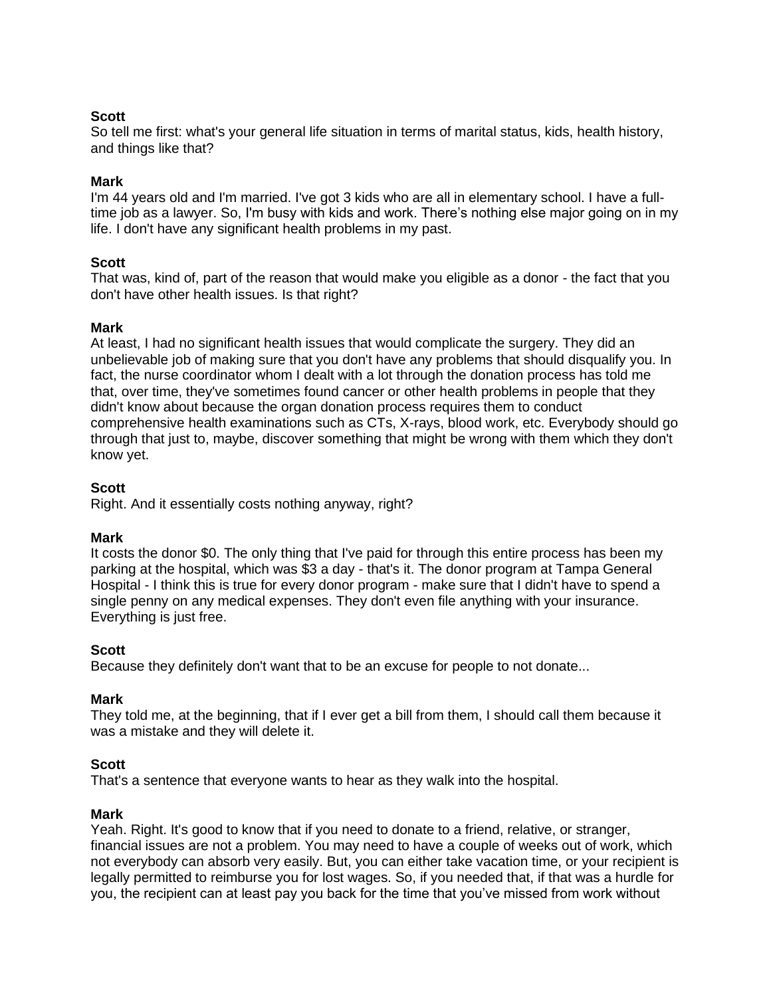# **Scott**

So tell me first: what's your general life situation in terms of marital status, kids, health history, and things like that?

### **Mark**

I'm 44 years old and I'm married. I've got 3 kids who are all in elementary school. I have a fulltime job as a lawyer. So, I'm busy with kids and work. There's nothing else major going on in my life. I don't have any significant health problems in my past.

### **Scott**

That was, kind of, part of the reason that would make you eligible as a donor - the fact that you don't have other health issues. Is that right?

### **Mark**

At least, I had no significant health issues that would complicate the surgery. They did an unbelievable job of making sure that you don't have any problems that should disqualify you. In fact, the nurse coordinator whom I dealt with a lot through the donation process has told me that, over time, they've sometimes found cancer or other health problems in people that they didn't know about because the organ donation process requires them to conduct comprehensive health examinations such as CTs, X-rays, blood work, etc. Everybody should go through that just to, maybe, discover something that might be wrong with them which they don't know yet.

### **Scott**

Right. And it essentially costs nothing anyway, right?

### **Mark**

It costs the donor \$0. The only thing that I've paid for through this entire process has been my parking at the hospital, which was \$3 a day - that's it. The donor program at Tampa General Hospital - I think this is true for every donor program - make sure that I didn't have to spend a single penny on any medical expenses. They don't even file anything with your insurance. Everything is just free.

### **Scott**

Because they definitely don't want that to be an excuse for people to not donate...

### **Mark**

They told me, at the beginning, that if I ever get a bill from them, I should call them because it was a mistake and they will delete it.

### **Scott**

That's a sentence that everyone wants to hear as they walk into the hospital.

### **Mark**

Yeah. Right. It's good to know that if you need to donate to a friend, relative, or stranger, financial issues are not a problem. You may need to have a couple of weeks out of work, which not everybody can absorb very easily. But, you can either take vacation time, or your recipient is legally permitted to reimburse you for lost wages. So, if you needed that, if that was a hurdle for you, the recipient can at least pay you back for the time that you've missed from work without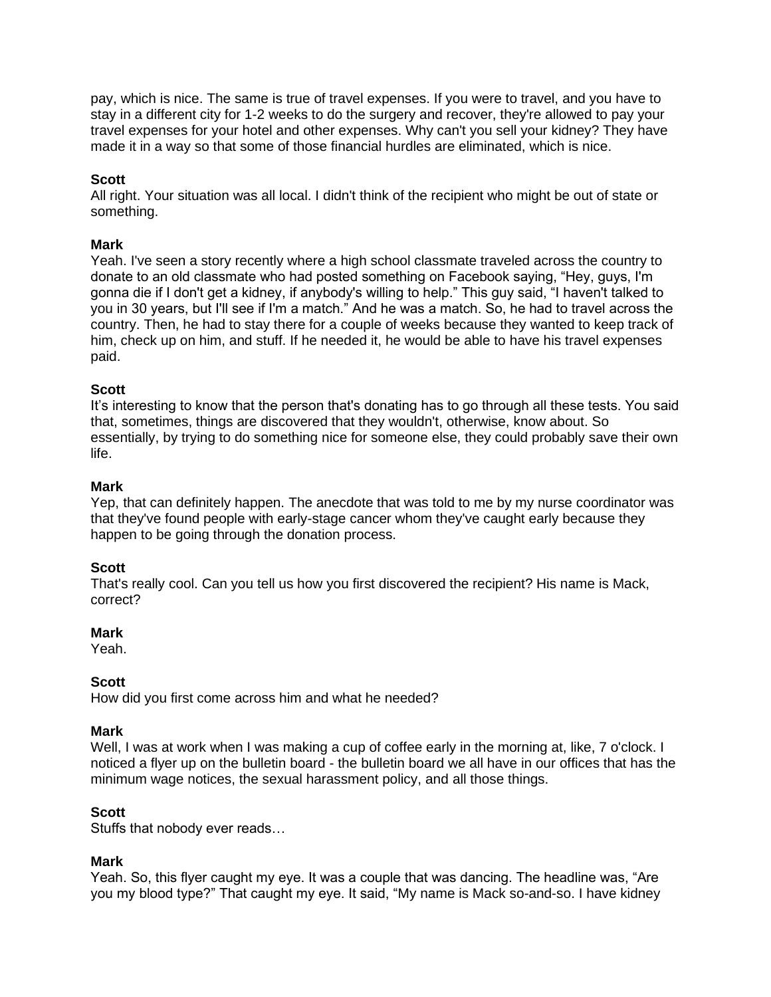pay, which is nice. The same is true of travel expenses. If you were to travel, and you have to stay in a different city for 1-2 weeks to do the surgery and recover, they're allowed to pay your travel expenses for your hotel and other expenses. Why can't you sell your kidney? They have made it in a way so that some of those financial hurdles are eliminated, which is nice.

### **Scott**

All right. Your situation was all local. I didn't think of the recipient who might be out of state or something.

### **Mark**

Yeah. I've seen a story recently where a high school classmate traveled across the country to donate to an old classmate who had posted something on Facebook saying, "Hey, guys, I'm gonna die if I don't get a kidney, if anybody's willing to help." This guy said, "I haven't talked to you in 30 years, but I'll see if I'm a match." And he was a match. So, he had to travel across the country. Then, he had to stay there for a couple of weeks because they wanted to keep track of him, check up on him, and stuff. If he needed it, he would be able to have his travel expenses paid.

### **Scott**

It's interesting to know that the person that's donating has to go through all these tests. You said that, sometimes, things are discovered that they wouldn't, otherwise, know about. So essentially, by trying to do something nice for someone else, they could probably save their own life.

# **Mark**

Yep, that can definitely happen. The anecdote that was told to me by my nurse coordinator was that they've found people with early-stage cancer whom they've caught early because they happen to be going through the donation process.

### **Scott**

That's really cool. Can you tell us how you first discovered the recipient? His name is Mack, correct?

### **Mark**

Yeah.

### **Scott**

How did you first come across him and what he needed?

### **Mark**

Well, I was at work when I was making a cup of coffee early in the morning at, like, 7 o'clock. I noticed a flyer up on the bulletin board - the bulletin board we all have in our offices that has the minimum wage notices, the sexual harassment policy, and all those things.

### **Scott**

Stuffs that nobody ever reads…

### **Mark**

Yeah. So, this flyer caught my eye. It was a couple that was dancing. The headline was, "Are you my blood type?" That caught my eye. It said, "My name is Mack so-and-so. I have kidney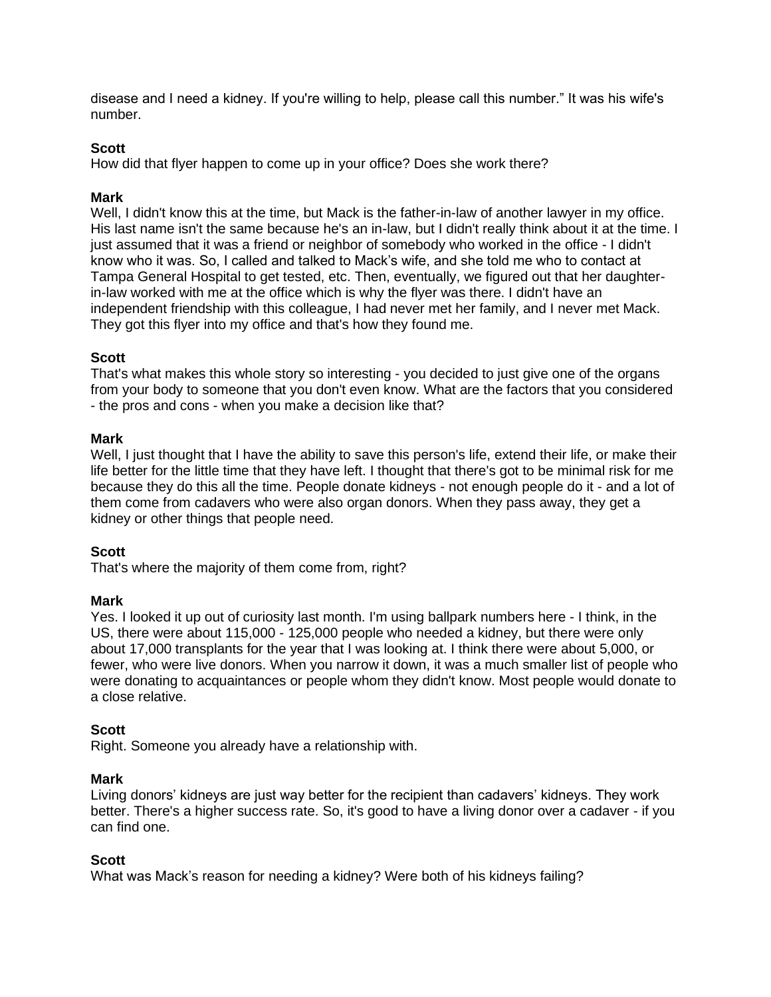disease and I need a kidney. If you're willing to help, please call this number." It was his wife's number.

## **Scott**

How did that flyer happen to come up in your office? Does she work there?

### **Mark**

Well, I didn't know this at the time, but Mack is the father-in-law of another lawyer in my office. His last name isn't the same because he's an in-law, but I didn't really think about it at the time. I just assumed that it was a friend or neighbor of somebody who worked in the office - I didn't know who it was. So, I called and talked to Mack's wife, and she told me who to contact at Tampa General Hospital to get tested, etc. Then, eventually, we figured out that her daughterin-law worked with me at the office which is why the flyer was there. I didn't have an independent friendship with this colleague, I had never met her family, and I never met Mack. They got this flyer into my office and that's how they found me.

### **Scott**

That's what makes this whole story so interesting - you decided to just give one of the organs from your body to someone that you don't even know. What are the factors that you considered - the pros and cons - when you make a decision like that?

### **Mark**

Well, I just thought that I have the ability to save this person's life, extend their life, or make their life better for the little time that they have left. I thought that there's got to be minimal risk for me because they do this all the time. People donate kidneys - not enough people do it - and a lot of them come from cadavers who were also organ donors. When they pass away, they get a kidney or other things that people need.

### **Scott**

That's where the majority of them come from, right?

### **Mark**

Yes. I looked it up out of curiosity last month. I'm using ballpark numbers here - I think, in the US, there were about 115,000 - 125,000 people who needed a kidney, but there were only about 17,000 transplants for the year that I was looking at. I think there were about 5,000, or fewer, who were live donors. When you narrow it down, it was a much smaller list of people who were donating to acquaintances or people whom they didn't know. Most people would donate to a close relative.

### **Scott**

Right. Someone you already have a relationship with.

### **Mark**

Living donors' kidneys are just way better for the recipient than cadavers' kidneys. They work better. There's a higher success rate. So, it's good to have a living donor over a cadaver - if you can find one.

### **Scott**

What was Mack's reason for needing a kidney? Were both of his kidneys failing?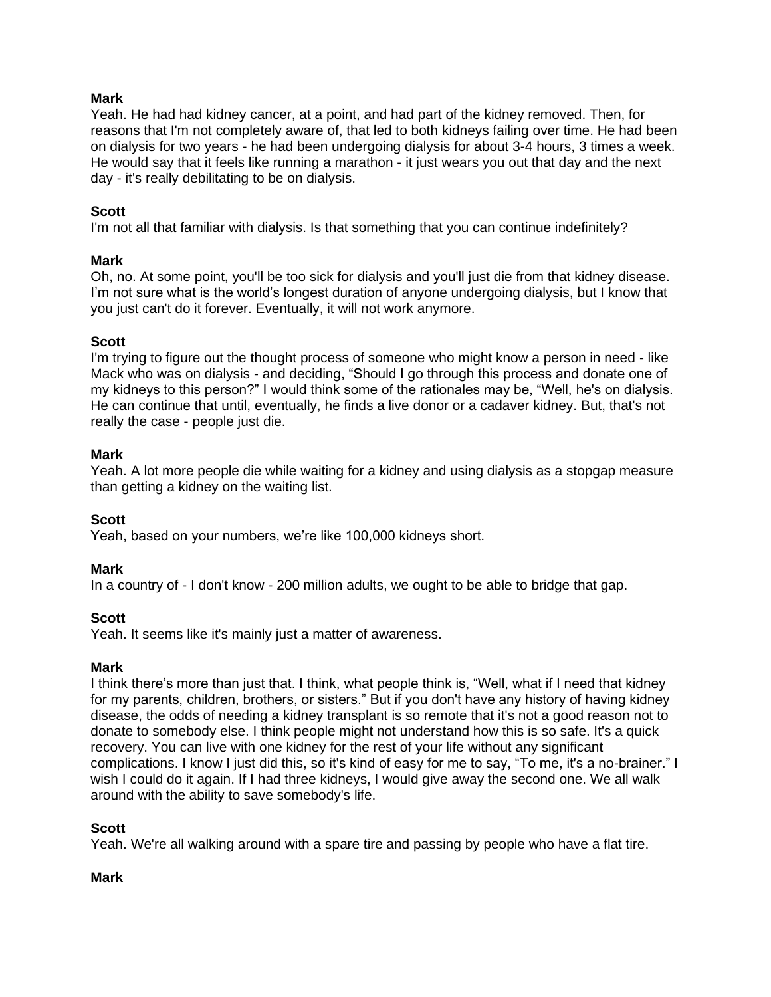Yeah. He had had kidney cancer, at a point, and had part of the kidney removed. Then, for reasons that I'm not completely aware of, that led to both kidneys failing over time. He had been on dialysis for two years - he had been undergoing dialysis for about 3-4 hours, 3 times a week. He would say that it feels like running a marathon - it just wears you out that day and the next day - it's really debilitating to be on dialysis.

# **Scott**

I'm not all that familiar with dialysis. Is that something that you can continue indefinitely?

# **Mark**

Oh, no. At some point, you'll be too sick for dialysis and you'll just die from that kidney disease. I'm not sure what is the world's longest duration of anyone undergoing dialysis, but I know that you just can't do it forever. Eventually, it will not work anymore.

### **Scott**

I'm trying to figure out the thought process of someone who might know a person in need - like Mack who was on dialysis - and deciding, "Should I go through this process and donate one of my kidneys to this person?" I would think some of the rationales may be, "Well, he's on dialysis. He can continue that until, eventually, he finds a live donor or a cadaver kidney. But, that's not really the case - people just die.

### **Mark**

Yeah. A lot more people die while waiting for a kidney and using dialysis as a stopgap measure than getting a kidney on the waiting list.

### **Scott**

Yeah, based on your numbers, we're like 100,000 kidneys short.

### **Mark**

In a country of - I don't know - 200 million adults, we ought to be able to bridge that gap.

### **Scott**

Yeah. It seems like it's mainly just a matter of awareness.

### **Mark**

I think there's more than just that. I think, what people think is, "Well, what if I need that kidney for my parents, children, brothers, or sisters." But if you don't have any history of having kidney disease, the odds of needing a kidney transplant is so remote that it's not a good reason not to donate to somebody else. I think people might not understand how this is so safe. It's a quick recovery. You can live with one kidney for the rest of your life without any significant complications. I know I just did this, so it's kind of easy for me to say, "To me, it's a no-brainer." I wish I could do it again. If I had three kidneys, I would give away the second one. We all walk around with the ability to save somebody's life.

### **Scott**

Yeah. We're all walking around with a spare tire and passing by people who have a flat tire.

### **Mark**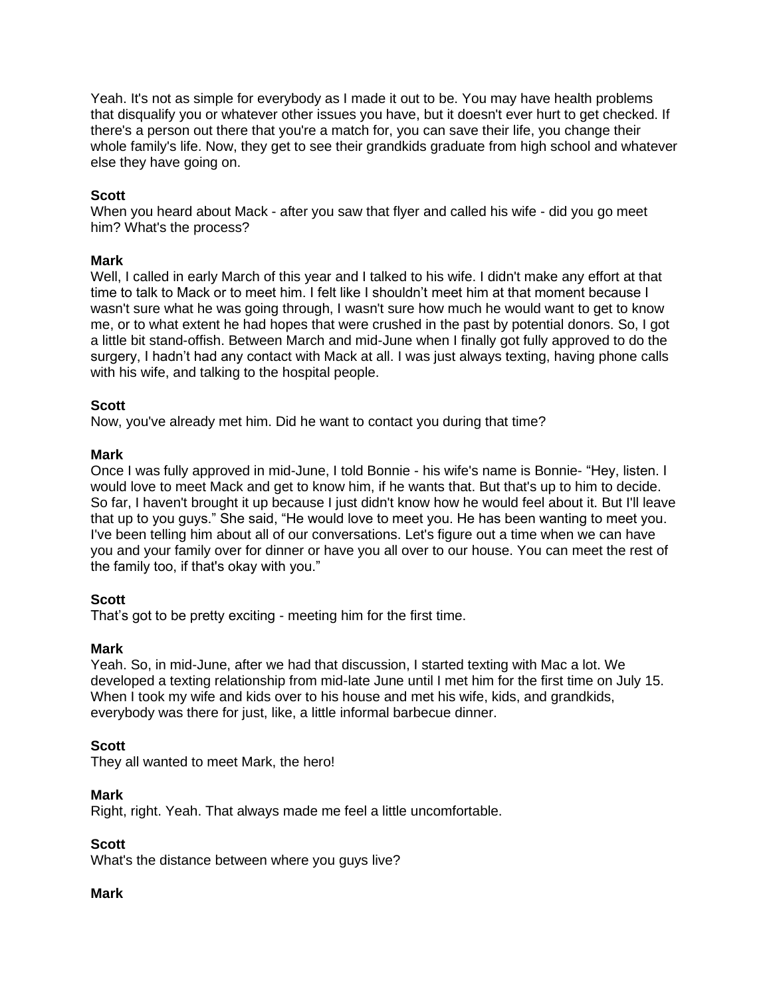Yeah. It's not as simple for everybody as I made it out to be. You may have health problems that disqualify you or whatever other issues you have, but it doesn't ever hurt to get checked. If there's a person out there that you're a match for, you can save their life, you change their whole family's life. Now, they get to see their grandkids graduate from high school and whatever else they have going on.

## **Scott**

When you heard about Mack - after you saw that flyer and called his wife - did you go meet him? What's the process?

### **Mark**

Well, I called in early March of this year and I talked to his wife. I didn't make any effort at that time to talk to Mack or to meet him. I felt like I shouldn't meet him at that moment because I wasn't sure what he was going through, I wasn't sure how much he would want to get to know me, or to what extent he had hopes that were crushed in the past by potential donors. So, I got a little bit stand-offish. Between March and mid-June when I finally got fully approved to do the surgery, I hadn't had any contact with Mack at all. I was just always texting, having phone calls with his wife, and talking to the hospital people.

### **Scott**

Now, you've already met him. Did he want to contact you during that time?

### **Mark**

Once I was fully approved in mid-June, I told Bonnie - his wife's name is Bonnie- "Hey, listen. I would love to meet Mack and get to know him, if he wants that. But that's up to him to decide. So far, I haven't brought it up because I just didn't know how he would feel about it. But I'll leave that up to you guys." She said, "He would love to meet you. He has been wanting to meet you. I've been telling him about all of our conversations. Let's figure out a time when we can have you and your family over for dinner or have you all over to our house. You can meet the rest of the family too, if that's okay with you."

# **Scott**

That's got to be pretty exciting - meeting him for the first time.

### **Mark**

Yeah. So, in mid-June, after we had that discussion, I started texting with Mac a lot. We developed a texting relationship from mid-late June until I met him for the first time on July 15. When I took my wife and kids over to his house and met his wife, kids, and grandkids, everybody was there for just, like, a little informal barbecue dinner.

### **Scott**

They all wanted to meet Mark, the hero!

### **Mark**

Right, right. Yeah. That always made me feel a little uncomfortable.

### **Scott**

What's the distance between where you guys live?

### **Mark**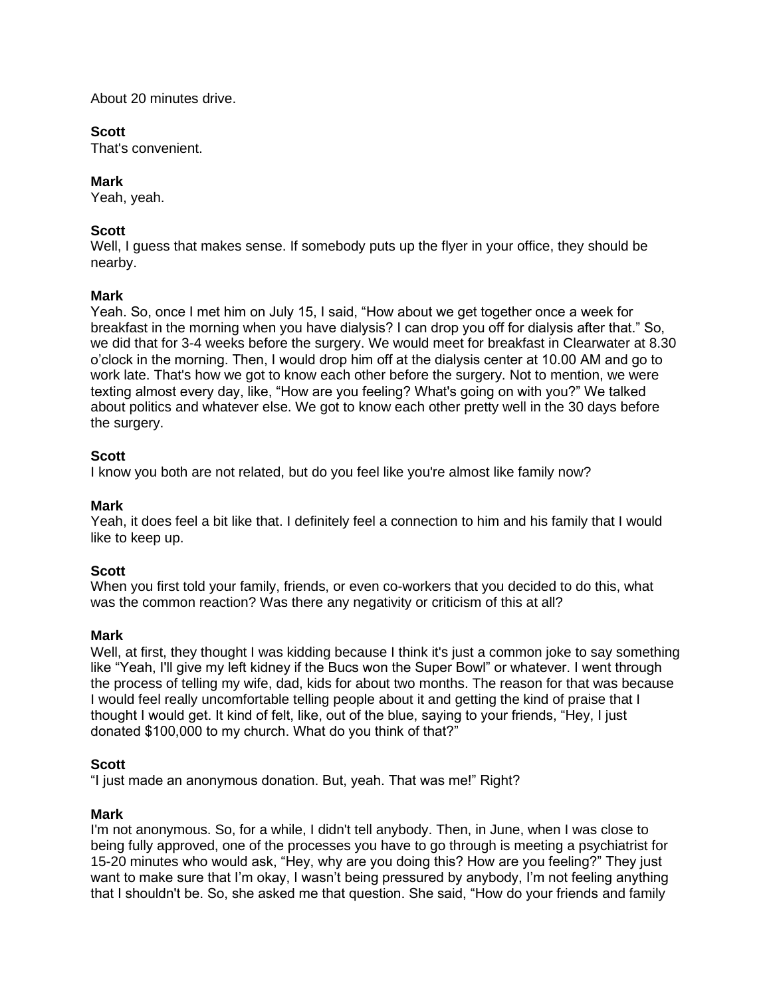About 20 minutes drive.

# **Scott**

That's convenient.

# **Mark**

Yeah, yeah.

# **Scott**

Well, I guess that makes sense. If somebody puts up the flyer in your office, they should be nearby.

# **Mark**

Yeah. So, once I met him on July 15, I said, "How about we get together once a week for breakfast in the morning when you have dialysis? I can drop you off for dialysis after that." So, we did that for 3-4 weeks before the surgery. We would meet for breakfast in Clearwater at 8.30 o'clock in the morning. Then, I would drop him off at the dialysis center at 10.00 AM and go to work late. That's how we got to know each other before the surgery. Not to mention, we were texting almost every day, like, "How are you feeling? What's going on with you?" We talked about politics and whatever else. We got to know each other pretty well in the 30 days before the surgery.

# **Scott**

I know you both are not related, but do you feel like you're almost like family now?

# **Mark**

Yeah, it does feel a bit like that. I definitely feel a connection to him and his family that I would like to keep up.

# **Scott**

When you first told your family, friends, or even co-workers that you decided to do this, what was the common reaction? Was there any negativity or criticism of this at all?

# **Mark**

Well, at first, they thought I was kidding because I think it's just a common joke to say something like "Yeah, I'll give my left kidney if the Bucs won the Super Bowl" or whatever. I went through the process of telling my wife, dad, kids for about two months. The reason for that was because I would feel really uncomfortable telling people about it and getting the kind of praise that I thought I would get. It kind of felt, like, out of the blue, saying to your friends, "Hey, I just donated \$100,000 to my church. What do you think of that?"

# **Scott**

"I just made an anonymous donation. But, yeah. That was me!" Right?

# **Mark**

I'm not anonymous. So, for a while, I didn't tell anybody. Then, in June, when I was close to being fully approved, one of the processes you have to go through is meeting a psychiatrist for 15-20 minutes who would ask, "Hey, why are you doing this? How are you feeling?" They just want to make sure that I'm okay, I wasn't being pressured by anybody, I'm not feeling anything that I shouldn't be. So, she asked me that question. She said, "How do your friends and family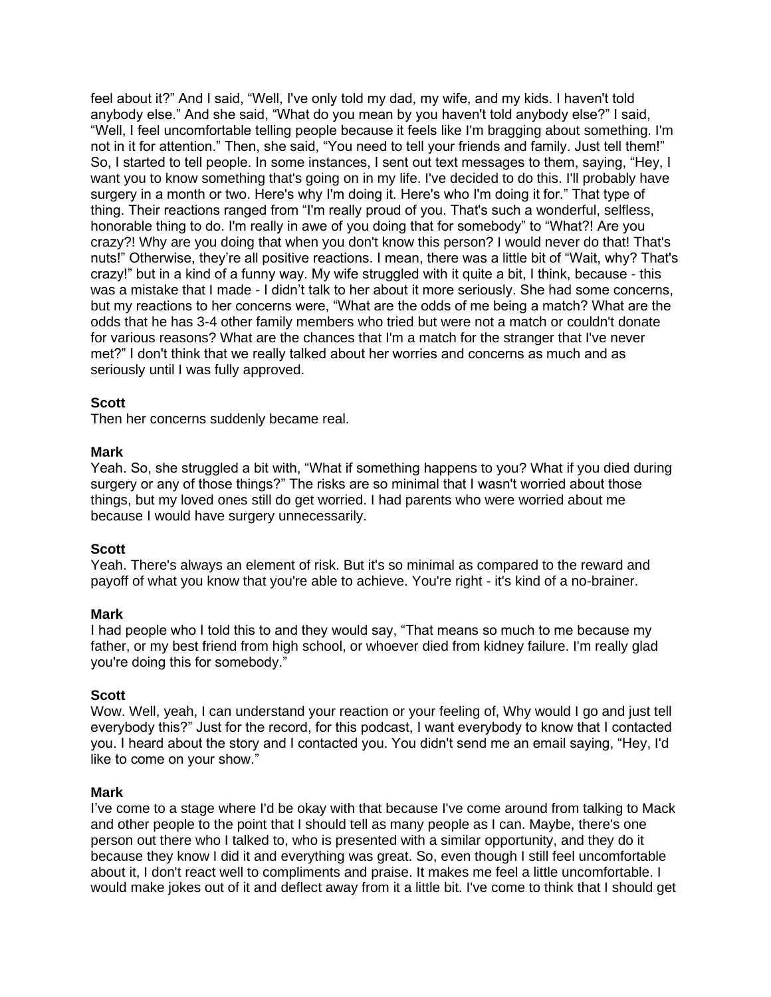feel about it?" And I said, "Well, I've only told my dad, my wife, and my kids. I haven't told anybody else." And she said, "What do you mean by you haven't told anybody else?" I said, "Well, I feel uncomfortable telling people because it feels like I'm bragging about something. I'm not in it for attention." Then, she said, "You need to tell your friends and family. Just tell them!" So, I started to tell people. In some instances, I sent out text messages to them, saying, "Hey, I want you to know something that's going on in my life. I've decided to do this. I'll probably have surgery in a month or two. Here's why I'm doing it. Here's who I'm doing it for." That type of thing. Their reactions ranged from "I'm really proud of you. That's such a wonderful, selfless, honorable thing to do. I'm really in awe of you doing that for somebody" to "What?! Are you crazy?! Why are you doing that when you don't know this person? I would never do that! That's nuts!" Otherwise, they're all positive reactions. I mean, there was a little bit of "Wait, why? That's crazy!" but in a kind of a funny way. My wife struggled with it quite a bit, I think, because - this was a mistake that I made - I didn't talk to her about it more seriously. She had some concerns, but my reactions to her concerns were, "What are the odds of me being a match? What are the odds that he has 3-4 other family members who tried but were not a match or couldn't donate for various reasons? What are the chances that I'm a match for the stranger that I've never met?" I don't think that we really talked about her worries and concerns as much and as seriously until I was fully approved.

### **Scott**

Then her concerns suddenly became real.

### **Mark**

Yeah. So, she struggled a bit with, "What if something happens to you? What if you died during surgery or any of those things?" The risks are so minimal that I wasn't worried about those things, but my loved ones still do get worried. I had parents who were worried about me because I would have surgery unnecessarily.

### **Scott**

Yeah. There's always an element of risk. But it's so minimal as compared to the reward and payoff of what you know that you're able to achieve. You're right - it's kind of a no-brainer.

### **Mark**

I had people who I told this to and they would say, "That means so much to me because my father, or my best friend from high school, or whoever died from kidney failure. I'm really glad you're doing this for somebody."

# **Scott**

Wow. Well, yeah, I can understand your reaction or your feeling of, Why would I go and just tell everybody this?" Just for the record, for this podcast, I want everybody to know that I contacted you. I heard about the story and I contacted you. You didn't send me an email saying, "Hey, I'd like to come on your show."

### **Mark**

I've come to a stage where I'd be okay with that because I've come around from talking to Mack and other people to the point that I should tell as many people as I can. Maybe, there's one person out there who I talked to, who is presented with a similar opportunity, and they do it because they know I did it and everything was great. So, even though I still feel uncomfortable about it, I don't react well to compliments and praise. It makes me feel a little uncomfortable. I would make jokes out of it and deflect away from it a little bit. I've come to think that I should get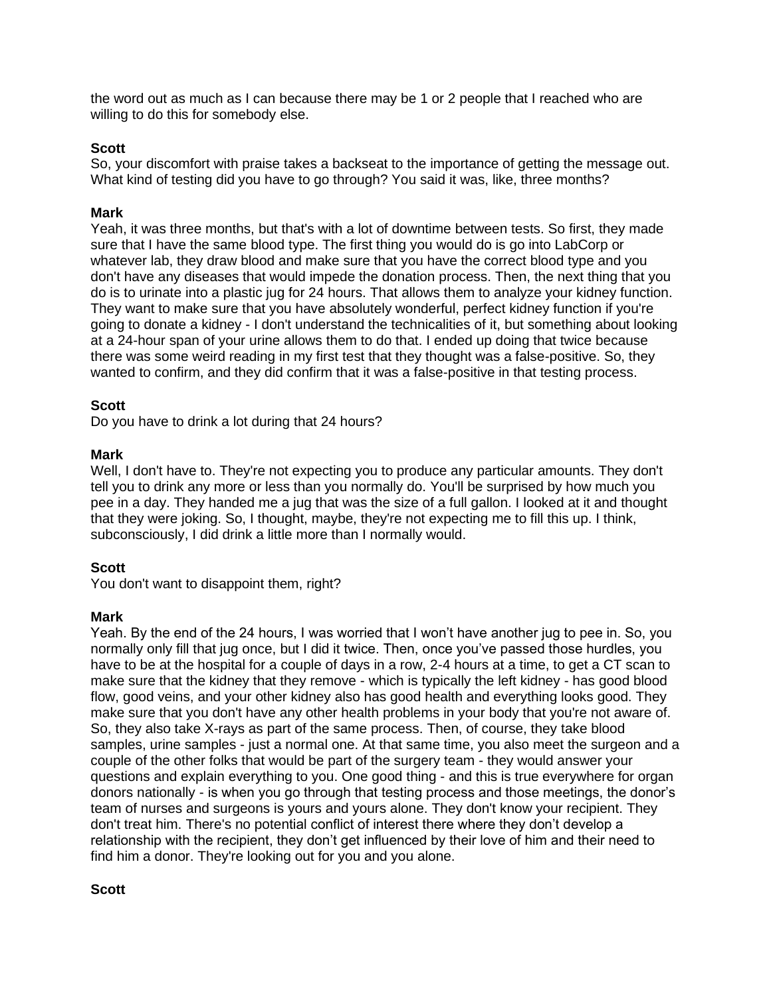the word out as much as I can because there may be 1 or 2 people that I reached who are willing to do this for somebody else.

### **Scott**

So, your discomfort with praise takes a backseat to the importance of getting the message out. What kind of testing did you have to go through? You said it was, like, three months?

### **Mark**

Yeah, it was three months, but that's with a lot of downtime between tests. So first, they made sure that I have the same blood type. The first thing you would do is go into LabCorp or whatever lab, they draw blood and make sure that you have the correct blood type and you don't have any diseases that would impede the donation process. Then, the next thing that you do is to urinate into a plastic jug for 24 hours. That allows them to analyze your kidney function. They want to make sure that you have absolutely wonderful, perfect kidney function if you're going to donate a kidney - I don't understand the technicalities of it, but something about looking at a 24-hour span of your urine allows them to do that. I ended up doing that twice because there was some weird reading in my first test that they thought was a false-positive. So, they wanted to confirm, and they did confirm that it was a false-positive in that testing process.

### **Scott**

Do you have to drink a lot during that 24 hours?

### **Mark**

Well, I don't have to. They're not expecting you to produce any particular amounts. They don't tell you to drink any more or less than you normally do. You'll be surprised by how much you pee in a day. They handed me a jug that was the size of a full gallon. I looked at it and thought that they were joking. So, I thought, maybe, they're not expecting me to fill this up. I think, subconsciously, I did drink a little more than I normally would.

# **Scott**

You don't want to disappoint them, right?

### **Mark**

Yeah. By the end of the 24 hours, I was worried that I won't have another jug to pee in. So, you normally only fill that jug once, but I did it twice. Then, once you've passed those hurdles, you have to be at the hospital for a couple of days in a row, 2-4 hours at a time, to get a CT scan to make sure that the kidney that they remove - which is typically the left kidney - has good blood flow, good veins, and your other kidney also has good health and everything looks good. They make sure that you don't have any other health problems in your body that you're not aware of. So, they also take X-rays as part of the same process. Then, of course, they take blood samples, urine samples - just a normal one. At that same time, you also meet the surgeon and a couple of the other folks that would be part of the surgery team - they would answer your questions and explain everything to you. One good thing - and this is true everywhere for organ donors nationally - is when you go through that testing process and those meetings, the donor's team of nurses and surgeons is yours and yours alone. They don't know your recipient. They don't treat him. There's no potential conflict of interest there where they don't develop a relationship with the recipient, they don't get influenced by their love of him and their need to find him a donor. They're looking out for you and you alone.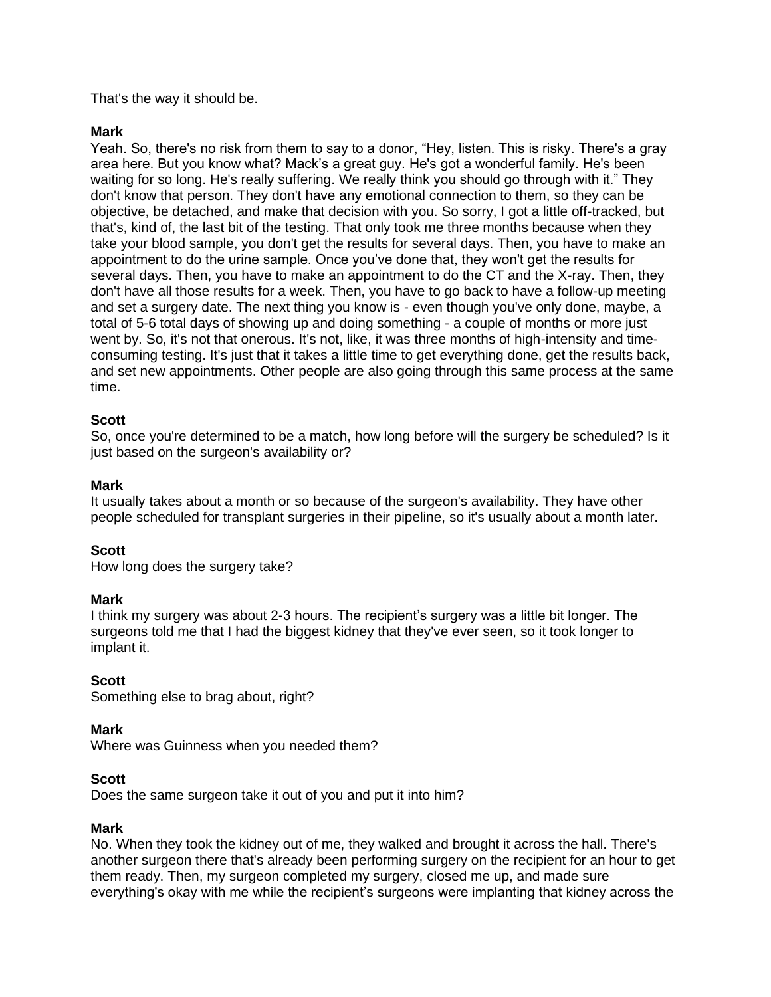## That's the way it should be.

### **Mark**

Yeah. So, there's no risk from them to say to a donor, "Hey, listen. This is risky. There's a gray area here. But you know what? Mack's a great guy. He's got a wonderful family. He's been waiting for so long. He's really suffering. We really think you should go through with it." They don't know that person. They don't have any emotional connection to them, so they can be objective, be detached, and make that decision with you. So sorry, I got a little off-tracked, but that's, kind of, the last bit of the testing. That only took me three months because when they take your blood sample, you don't get the results for several days. Then, you have to make an appointment to do the urine sample. Once you've done that, they won't get the results for several days. Then, you have to make an appointment to do the CT and the X-ray. Then, they don't have all those results for a week. Then, you have to go back to have a follow-up meeting and set a surgery date. The next thing you know is - even though you've only done, maybe, a total of 5-6 total days of showing up and doing something - a couple of months or more just went by. So, it's not that onerous. It's not, like, it was three months of high-intensity and timeconsuming testing. It's just that it takes a little time to get everything done, get the results back, and set new appointments. Other people are also going through this same process at the same time.

### **Scott**

So, once you're determined to be a match, how long before will the surgery be scheduled? Is it just based on the surgeon's availability or?

### **Mark**

It usually takes about a month or so because of the surgeon's availability. They have other people scheduled for transplant surgeries in their pipeline, so it's usually about a month later.

### **Scott**

How long does the surgery take?

### **Mark**

I think my surgery was about 2-3 hours. The recipient's surgery was a little bit longer. The surgeons told me that I had the biggest kidney that they've ever seen, so it took longer to implant it.

### **Scott**

Something else to brag about, right?

### **Mark**

Where was Guinness when you needed them?

### **Scott**

Does the same surgeon take it out of you and put it into him?

### **Mark**

No. When they took the kidney out of me, they walked and brought it across the hall. There's another surgeon there that's already been performing surgery on the recipient for an hour to get them ready. Then, my surgeon completed my surgery, closed me up, and made sure everything's okay with me while the recipient's surgeons were implanting that kidney across the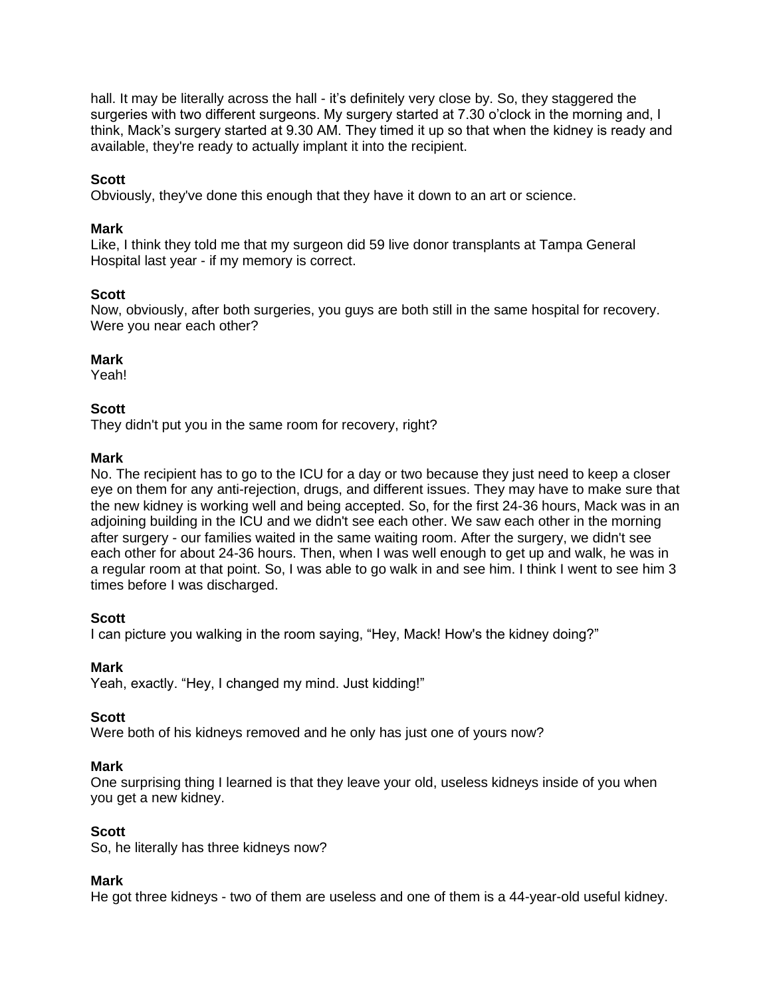hall. It may be literally across the hall - it's definitely very close by. So, they staggered the surgeries with two different surgeons. My surgery started at 7.30 o'clock in the morning and, I think, Mack's surgery started at 9.30 AM. They timed it up so that when the kidney is ready and available, they're ready to actually implant it into the recipient.

## **Scott**

Obviously, they've done this enough that they have it down to an art or science.

### **Mark**

Like, I think they told me that my surgeon did 59 live donor transplants at Tampa General Hospital last year - if my memory is correct.

### **Scott**

Now, obviously, after both surgeries, you guys are both still in the same hospital for recovery. Were you near each other?

### **Mark**

Yeah!

### **Scott**

They didn't put you in the same room for recovery, right?

#### **Mark**

No. The recipient has to go to the ICU for a day or two because they just need to keep a closer eye on them for any anti-rejection, drugs, and different issues. They may have to make sure that the new kidney is working well and being accepted. So, for the first 24-36 hours, Mack was in an adjoining building in the ICU and we didn't see each other. We saw each other in the morning after surgery - our families waited in the same waiting room. After the surgery, we didn't see each other for about 24-36 hours. Then, when I was well enough to get up and walk, he was in a regular room at that point. So, I was able to go walk in and see him. I think I went to see him 3 times before I was discharged.

### **Scott**

I can picture you walking in the room saying, "Hey, Mack! How's the kidney doing?"

### **Mark**

Yeah, exactly. "Hey, I changed my mind. Just kidding!"

### **Scott**

Were both of his kidneys removed and he only has just one of yours now?

### **Mark**

One surprising thing I learned is that they leave your old, useless kidneys inside of you when you get a new kidney.

### **Scott**

So, he literally has three kidneys now?

### **Mark**

He got three kidneys - two of them are useless and one of them is a 44-year-old useful kidney.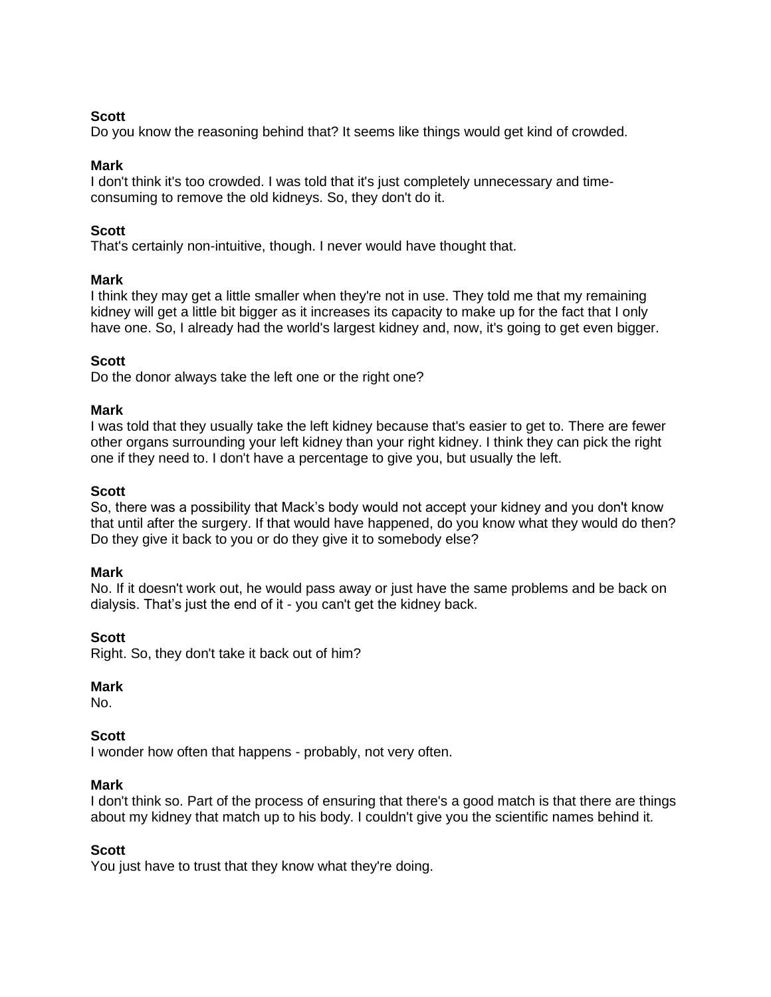## **Scott**

Do you know the reasoning behind that? It seems like things would get kind of crowded.

### **Mark**

I don't think it's too crowded. I was told that it's just completely unnecessary and timeconsuming to remove the old kidneys. So, they don't do it.

## **Scott**

That's certainly non-intuitive, though. I never would have thought that.

### **Mark**

I think they may get a little smaller when they're not in use. They told me that my remaining kidney will get a little bit bigger as it increases its capacity to make up for the fact that I only have one. So, I already had the world's largest kidney and, now, it's going to get even bigger.

# **Scott**

Do the donor always take the left one or the right one?

### **Mark**

I was told that they usually take the left kidney because that's easier to get to. There are fewer other organs surrounding your left kidney than your right kidney. I think they can pick the right one if they need to. I don't have a percentage to give you, but usually the left.

### **Scott**

So, there was a possibility that Mack's body would not accept your kidney and you don't know that until after the surgery. If that would have happened, do you know what they would do then? Do they give it back to you or do they give it to somebody else?

### **Mark**

No. If it doesn't work out, he would pass away or just have the same problems and be back on dialysis. That's just the end of it - you can't get the kidney back.

### **Scott**

Right. So, they don't take it back out of him?

# **Mark**

No.

# **Scott**

I wonder how often that happens - probably, not very often.

### **Mark**

I don't think so. Part of the process of ensuring that there's a good match is that there are things about my kidney that match up to his body. I couldn't give you the scientific names behind it.

### **Scott**

You just have to trust that they know what they're doing.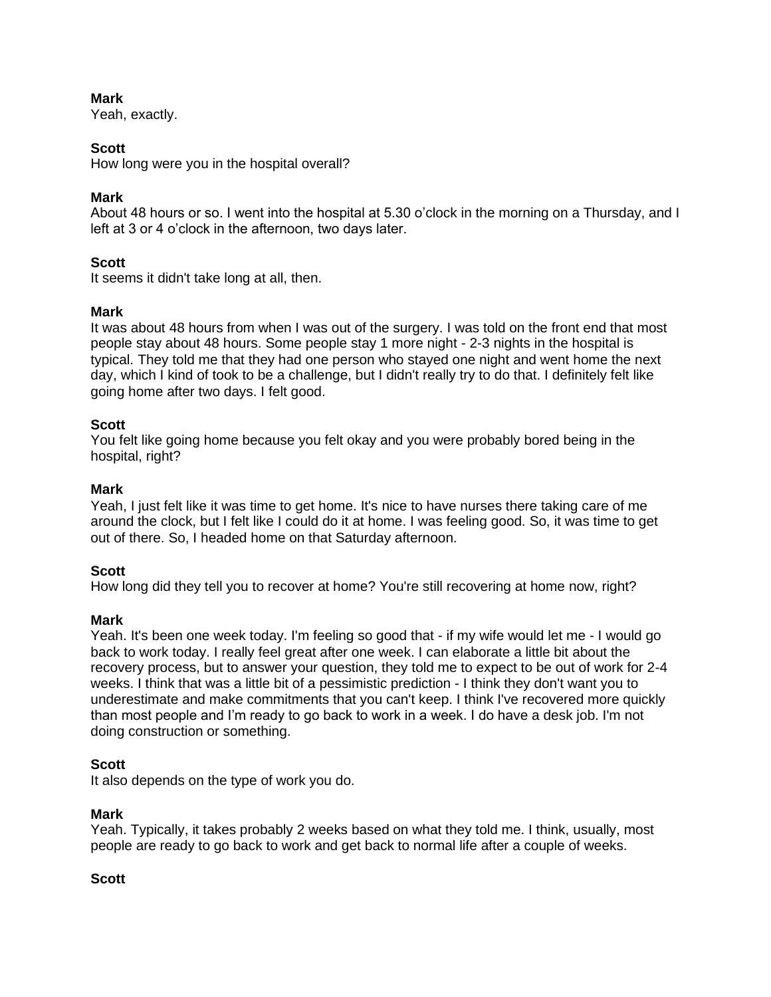Yeah, exactly.

# **Scott**

How long were you in the hospital overall?

# **Mark**

About 48 hours or so. I went into the hospital at 5.30 o'clock in the morning on a Thursday, and I left at 3 or 4 o'clock in the afternoon, two days later.

# **Scott**

It seems it didn't take long at all, then.

# **Mark**

It was about 48 hours from when I was out of the surgery. I was told on the front end that most people stay about 48 hours. Some people stay 1 more night - 2-3 nights in the hospital is typical. They told me that they had one person who stayed one night and went home the next day, which I kind of took to be a challenge, but I didn't really try to do that. I definitely felt like going home after two days. I felt good.

# **Scott**

You felt like going home because you felt okay and you were probably bored being in the hospital, right?

# **Mark**

Yeah, I just felt like it was time to get home. It's nice to have nurses there taking care of me around the clock, but I felt like I could do it at home. I was feeling good. So, it was time to get out of there. So, I headed home on that Saturday afternoon.

# **Scott**

How long did they tell you to recover at home? You're still recovering at home now, right?

# **Mark**

Yeah. It's been one week today. I'm feeling so good that - if my wife would let me - I would go back to work today. I really feel great after one week. I can elaborate a little bit about the recovery process, but to answer your question, they told me to expect to be out of work for 2-4 weeks. I think that was a little bit of a pessimistic prediction - I think they don't want you to underestimate and make commitments that you can't keep. I think I've recovered more quickly than most people and I'm ready to go back to work in a week. I do have a desk job. I'm not doing construction or something.

# **Scott**

It also depends on the type of work you do.

# **Mark**

Yeah. Typically, it takes probably 2 weeks based on what they told me. I think, usually, most people are ready to go back to work and get back to normal life after a couple of weeks.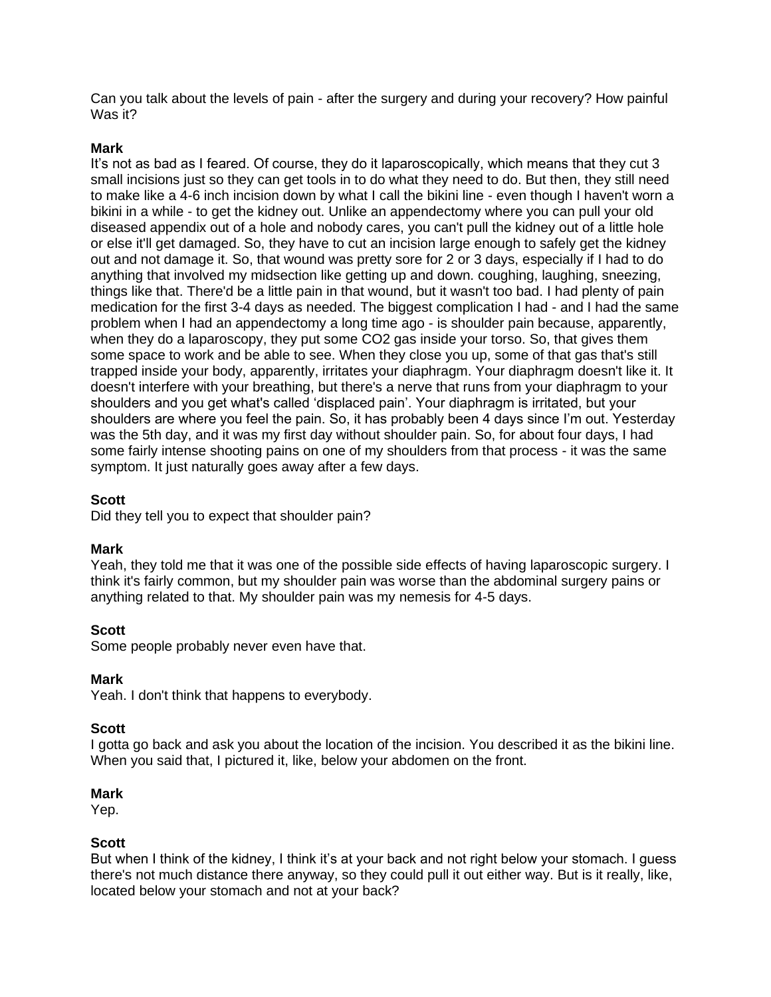Can you talk about the levels of pain - after the surgery and during your recovery? How painful Was it?

### **Mark**

It's not as bad as I feared. Of course, they do it laparoscopically, which means that they cut 3 small incisions just so they can get tools in to do what they need to do. But then, they still need to make like a 4-6 inch incision down by what I call the bikini line - even though I haven't worn a bikini in a while - to get the kidney out. Unlike an appendectomy where you can pull your old diseased appendix out of a hole and nobody cares, you can't pull the kidney out of a little hole or else it'll get damaged. So, they have to cut an incision large enough to safely get the kidney out and not damage it. So, that wound was pretty sore for 2 or 3 days, especially if I had to do anything that involved my midsection like getting up and down. coughing, laughing, sneezing, things like that. There'd be a little pain in that wound, but it wasn't too bad. I had plenty of pain medication for the first 3-4 days as needed. The biggest complication I had - and I had the same problem when I had an appendectomy a long time ago - is shoulder pain because, apparently, when they do a laparoscopy, they put some CO2 gas inside your torso. So, that gives them some space to work and be able to see. When they close you up, some of that gas that's still trapped inside your body, apparently, irritates your diaphragm. Your diaphragm doesn't like it. It doesn't interfere with your breathing, but there's a nerve that runs from your diaphragm to your shoulders and you get what's called 'displaced pain'. Your diaphragm is irritated, but your shoulders are where you feel the pain. So, it has probably been 4 days since I'm out. Yesterday was the 5th day, and it was my first day without shoulder pain. So, for about four days, I had some fairly intense shooting pains on one of my shoulders from that process - it was the same symptom. It just naturally goes away after a few days.

### **Scott**

Did they tell you to expect that shoulder pain?

### **Mark**

Yeah, they told me that it was one of the possible side effects of having laparoscopic surgery. I think it's fairly common, but my shoulder pain was worse than the abdominal surgery pains or anything related to that. My shoulder pain was my nemesis for 4-5 days.

### **Scott**

Some people probably never even have that.

### **Mark**

Yeah. I don't think that happens to everybody.

### **Scott**

I gotta go back and ask you about the location of the incision. You described it as the bikini line. When you said that, I pictured it, like, below your abdomen on the front.

### **Mark**

Yep.

### **Scott**

But when I think of the kidney, I think it's at your back and not right below your stomach. I guess there's not much distance there anyway, so they could pull it out either way. But is it really, like, located below your stomach and not at your back?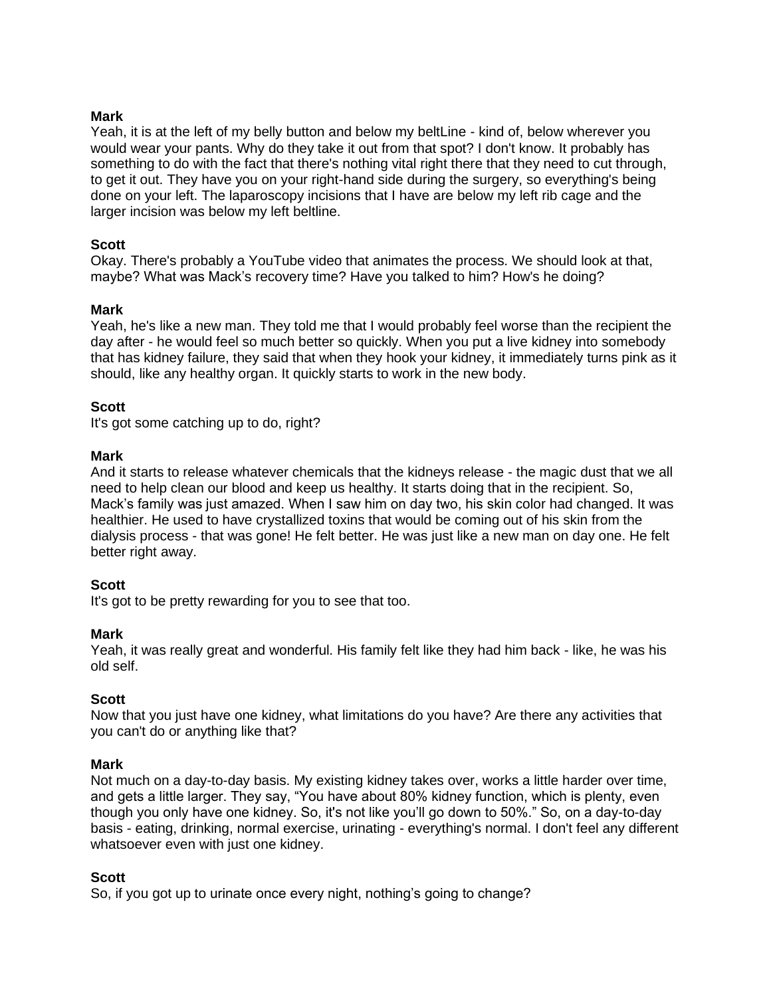Yeah, it is at the left of my belly button and below my beltLine - kind of, below wherever you would wear your pants. Why do they take it out from that spot? I don't know. It probably has something to do with the fact that there's nothing vital right there that they need to cut through, to get it out. They have you on your right-hand side during the surgery, so everything's being done on your left. The laparoscopy incisions that I have are below my left rib cage and the larger incision was below my left beltline.

### **Scott**

Okay. There's probably a YouTube video that animates the process. We should look at that, maybe? What was Mack's recovery time? Have you talked to him? How's he doing?

### **Mark**

Yeah, he's like a new man. They told me that I would probably feel worse than the recipient the day after - he would feel so much better so quickly. When you put a live kidney into somebody that has kidney failure, they said that when they hook your kidney, it immediately turns pink as it should, like any healthy organ. It quickly starts to work in the new body.

### **Scott**

It's got some catching up to do, right?

### **Mark**

And it starts to release whatever chemicals that the kidneys release - the magic dust that we all need to help clean our blood and keep us healthy. It starts doing that in the recipient. So, Mack's family was just amazed. When I saw him on day two, his skin color had changed. It was healthier. He used to have crystallized toxins that would be coming out of his skin from the dialysis process - that was gone! He felt better. He was just like a new man on day one. He felt better right away.

### **Scott**

It's got to be pretty rewarding for you to see that too.

### **Mark**

Yeah, it was really great and wonderful. His family felt like they had him back - like, he was his old self.

### **Scott**

Now that you just have one kidney, what limitations do you have? Are there any activities that you can't do or anything like that?

### **Mark**

Not much on a day-to-day basis. My existing kidney takes over, works a little harder over time, and gets a little larger. They say, "You have about 80% kidney function, which is plenty, even though you only have one kidney. So, it's not like you'll go down to 50%." So, on a day-to-day basis - eating, drinking, normal exercise, urinating - everything's normal. I don't feel any different whatsoever even with just one kidney.

### **Scott**

So, if you got up to urinate once every night, nothing's going to change?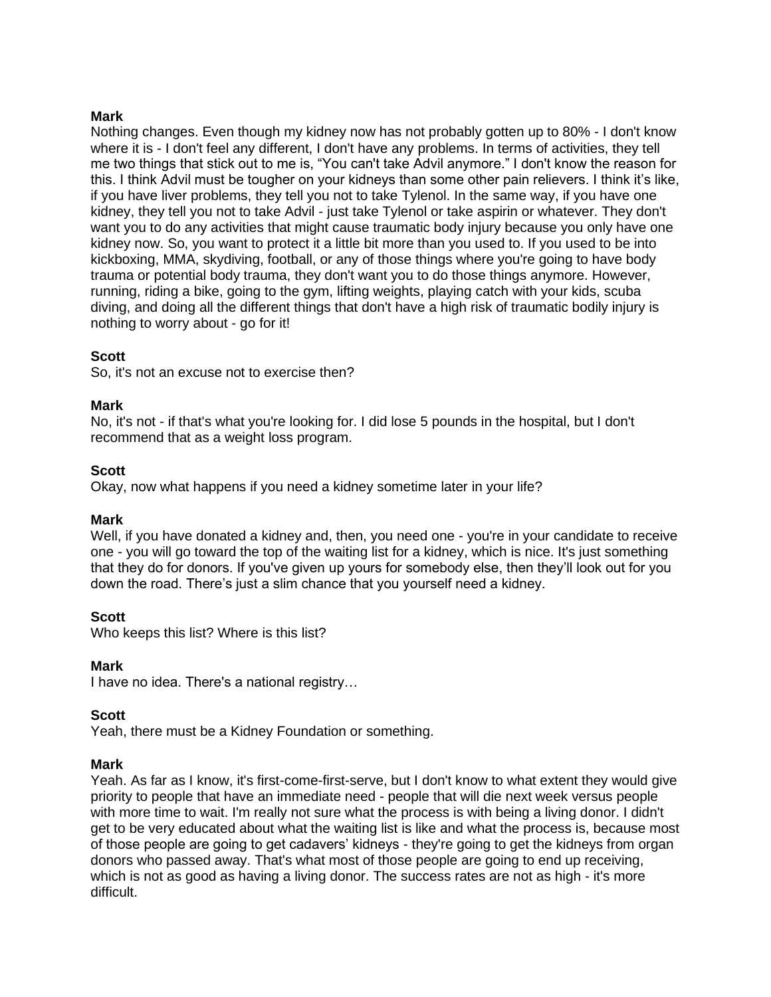Nothing changes. Even though my kidney now has not probably gotten up to 80% - I don't know where it is - I don't feel any different, I don't have any problems. In terms of activities, they tell me two things that stick out to me is, "You can't take Advil anymore." I don't know the reason for this. I think Advil must be tougher on your kidneys than some other pain relievers. I think it's like, if you have liver problems, they tell you not to take Tylenol. In the same way, if you have one kidney, they tell you not to take Advil - just take Tylenol or take aspirin or whatever. They don't want you to do any activities that might cause traumatic body injury because you only have one kidney now. So, you want to protect it a little bit more than you used to. If you used to be into kickboxing, MMA, skydiving, football, or any of those things where you're going to have body trauma or potential body trauma, they don't want you to do those things anymore. However, running, riding a bike, going to the gym, lifting weights, playing catch with your kids, scuba diving, and doing all the different things that don't have a high risk of traumatic bodily injury is nothing to worry about - go for it!

### **Scott**

So, it's not an excuse not to exercise then?

### **Mark**

No, it's not - if that's what you're looking for. I did lose 5 pounds in the hospital, but I don't recommend that as a weight loss program.

### **Scott**

Okay, now what happens if you need a kidney sometime later in your life?

### **Mark**

Well, if you have donated a kidney and, then, you need one - you're in your candidate to receive one - you will go toward the top of the waiting list for a kidney, which is nice. It's just something that they do for donors. If you've given up yours for somebody else, then they'll look out for you down the road. There's just a slim chance that you yourself need a kidney.

# **Scott**

Who keeps this list? Where is this list?

### **Mark**

I have no idea. There's a national registry…

### **Scott**

Yeah, there must be a Kidney Foundation or something.

### **Mark**

Yeah. As far as I know, it's first-come-first-serve, but I don't know to what extent they would give priority to people that have an immediate need - people that will die next week versus people with more time to wait. I'm really not sure what the process is with being a living donor. I didn't get to be very educated about what the waiting list is like and what the process is, because most of those people are going to get cadavers' kidneys - they're going to get the kidneys from organ donors who passed away. That's what most of those people are going to end up receiving, which is not as good as having a living donor. The success rates are not as high - it's more difficult.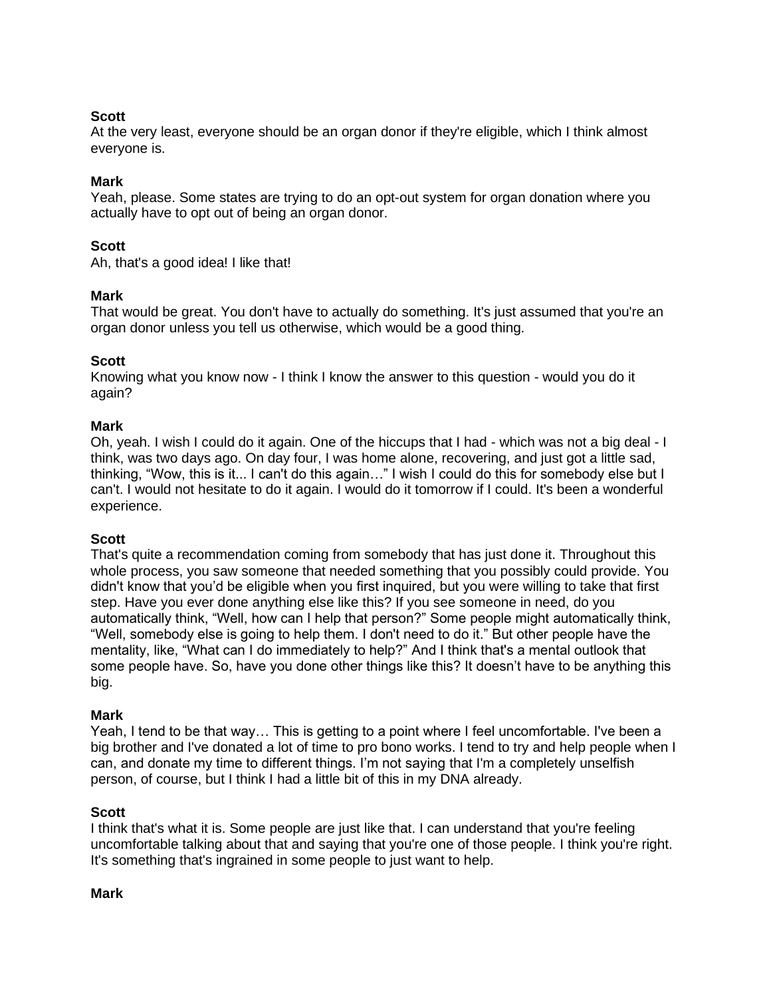# **Scott**

At the very least, everyone should be an organ donor if they're eligible, which I think almost everyone is.

# **Mark**

Yeah, please. Some states are trying to do an opt-out system for organ donation where you actually have to opt out of being an organ donor.

# **Scott**

Ah, that's a good idea! I like that!

# **Mark**

That would be great. You don't have to actually do something. It's just assumed that you're an organ donor unless you tell us otherwise, which would be a good thing.

# **Scott**

Knowing what you know now - I think I know the answer to this question - would you do it again?

### **Mark**

Oh, yeah. I wish I could do it again. One of the hiccups that I had - which was not a big deal - I think, was two days ago. On day four, I was home alone, recovering, and just got a little sad, thinking, "Wow, this is it... I can't do this again…" I wish I could do this for somebody else but I can't. I would not hesitate to do it again. I would do it tomorrow if I could. It's been a wonderful experience.

# **Scott**

That's quite a recommendation coming from somebody that has just done it. Throughout this whole process, you saw someone that needed something that you possibly could provide. You didn't know that you'd be eligible when you first inquired, but you were willing to take that first step. Have you ever done anything else like this? If you see someone in need, do you automatically think, "Well, how can I help that person?" Some people might automatically think, "Well, somebody else is going to help them. I don't need to do it." But other people have the mentality, like, "What can I do immediately to help?" And I think that's a mental outlook that some people have. So, have you done other things like this? It doesn't have to be anything this big.

### **Mark**

Yeah, I tend to be that way… This is getting to a point where I feel uncomfortable. I've been a big brother and I've donated a lot of time to pro bono works. I tend to try and help people when I can, and donate my time to different things. I'm not saying that I'm a completely unselfish person, of course, but I think I had a little bit of this in my DNA already.

### **Scott**

I think that's what it is. Some people are just like that. I can understand that you're feeling uncomfortable talking about that and saying that you're one of those people. I think you're right. It's something that's ingrained in some people to just want to help.

### **Mark**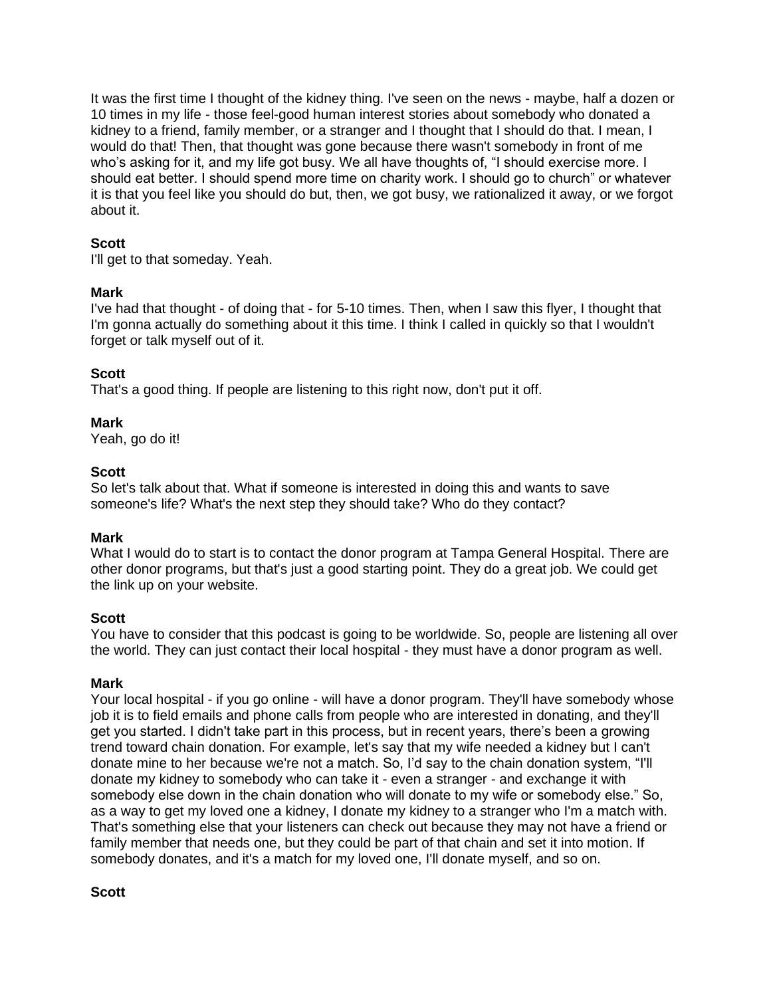It was the first time I thought of the kidney thing. I've seen on the news - maybe, half a dozen or 10 times in my life - those feel-good human interest stories about somebody who donated a kidney to a friend, family member, or a stranger and I thought that I should do that. I mean, I would do that! Then, that thought was gone because there wasn't somebody in front of me who's asking for it, and my life got busy. We all have thoughts of, "I should exercise more. I should eat better. I should spend more time on charity work. I should go to church" or whatever it is that you feel like you should do but, then, we got busy, we rationalized it away, or we forgot about it.

# **Scott**

I'll get to that someday. Yeah.

# **Mark**

I've had that thought - of doing that - for 5-10 times. Then, when I saw this flyer, I thought that I'm gonna actually do something about it this time. I think I called in quickly so that I wouldn't forget or talk myself out of it.

# **Scott**

That's a good thing. If people are listening to this right now, don't put it off.

# **Mark**

Yeah, go do it!

### **Scott**

So let's talk about that. What if someone is interested in doing this and wants to save someone's life? What's the next step they should take? Who do they contact?

# **Mark**

What I would do to start is to contact the donor program at Tampa General Hospital. There are other donor programs, but that's just a good starting point. They do a great job. We could get the link up on your website.

# **Scott**

You have to consider that this podcast is going to be worldwide. So, people are listening all over the world. They can just contact their local hospital - they must have a donor program as well.

### **Mark**

Your local hospital - if you go online - will have a donor program. They'll have somebody whose job it is to field emails and phone calls from people who are interested in donating, and they'll get you started. I didn't take part in this process, but in recent years, there's been a growing trend toward chain donation. For example, let's say that my wife needed a kidney but I can't donate mine to her because we're not a match. So, I'd say to the chain donation system, "I'll donate my kidney to somebody who can take it - even a stranger - and exchange it with somebody else down in the chain donation who will donate to my wife or somebody else." So, as a way to get my loved one a kidney, I donate my kidney to a stranger who I'm a match with. That's something else that your listeners can check out because they may not have a friend or family member that needs one, but they could be part of that chain and set it into motion. If somebody donates, and it's a match for my loved one, I'll donate myself, and so on.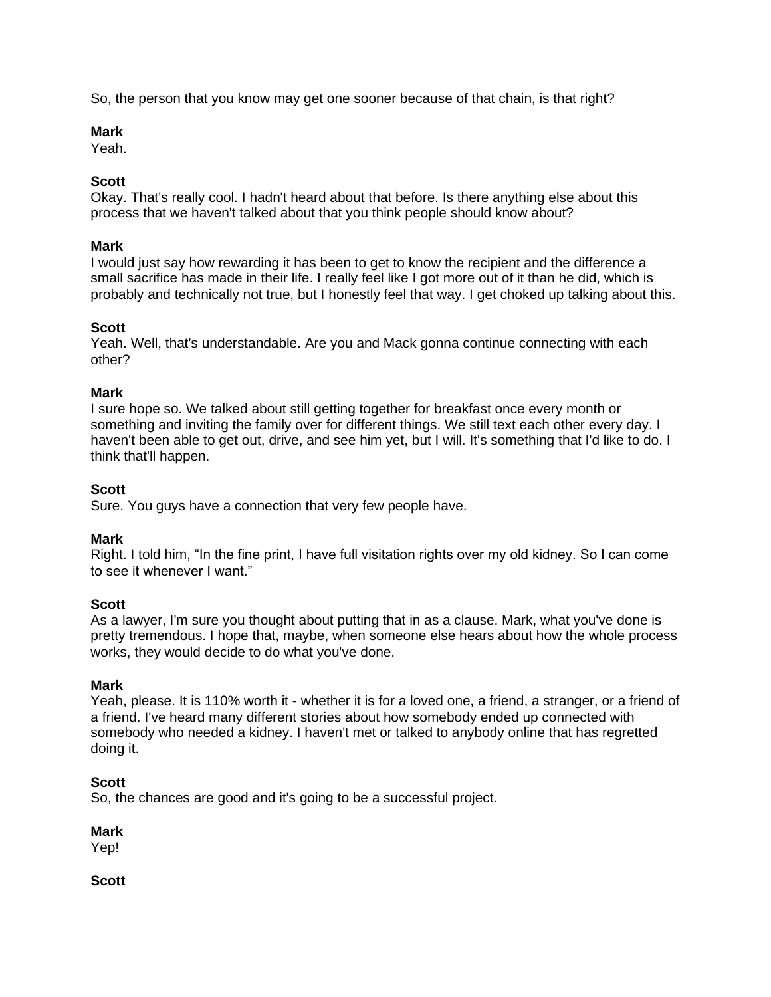So, the person that you know may get one sooner because of that chain, is that right?

### **Mark**

Yeah.

# **Scott**

Okay. That's really cool. I hadn't heard about that before. Is there anything else about this process that we haven't talked about that you think people should know about?

# **Mark**

I would just say how rewarding it has been to get to know the recipient and the difference a small sacrifice has made in their life. I really feel like I got more out of it than he did, which is probably and technically not true, but I honestly feel that way. I get choked up talking about this.

# **Scott**

Yeah. Well, that's understandable. Are you and Mack gonna continue connecting with each other?

# **Mark**

I sure hope so. We talked about still getting together for breakfast once every month or something and inviting the family over for different things. We still text each other every day. I haven't been able to get out, drive, and see him yet, but I will. It's something that I'd like to do. I think that'll happen.

# **Scott**

Sure. You guys have a connection that very few people have.

# **Mark**

Right. I told him, "In the fine print, I have full visitation rights over my old kidney. So I can come to see it whenever I want."

# **Scott**

As a lawyer, I'm sure you thought about putting that in as a clause. Mark, what you've done is pretty tremendous. I hope that, maybe, when someone else hears about how the whole process works, they would decide to do what you've done.

# **Mark**

Yeah, please. It is 110% worth it - whether it is for a loved one, a friend, a stranger, or a friend of a friend. I've heard many different stories about how somebody ended up connected with somebody who needed a kidney. I haven't met or talked to anybody online that has regretted doing it.

# **Scott**

So, the chances are good and it's going to be a successful project.

# **Mark**

Yep!